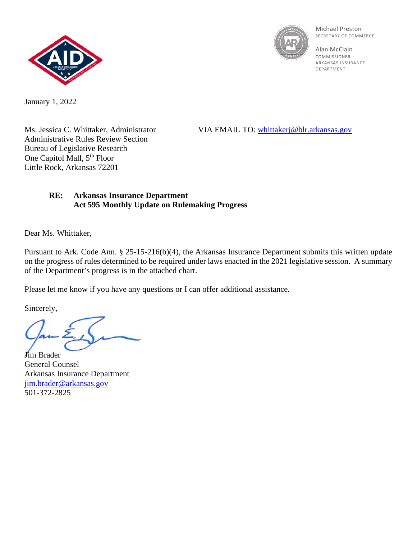



Michael Preston SECRETARY OF COMMERCE

Alan McClain **COMMISSIONER** ARKANSAS INSURANCE DEPARTMENT

January 1, 2022

Administrative Rules Review Section Bureau of Legislative Research One Capitol Mall, 5<sup>th</sup> Floor Little Rock, Arkansas 72201

Ms. Jessica C. Whittaker, Administrator VIA EMAIL TO: [whittakerj@blr.arkansas.gov](mailto:whittakerj@blr.arkansas.gov)

## **RE: Arkansas Insurance Department Act 595 Monthly Update on Rulemaking Progress**

Dear Ms. Whittaker,

Pursuant to Ark. Code Ann. § 25-15-216(b)(4), the Arkansas Insurance Department submits this written update on the progress of rules determined to be required under laws enacted in the 2021 legislative session. A summary of the Department's progress is in the attached chart.

Please let me know if you have any questions or I can offer additional assistance.

Sincerely,

**J**im Brader General Counsel Arkansas Insurance Department [jim.brader@arkansas.gov](mailto:jim.brader@arkansas.gov) 501-372-2825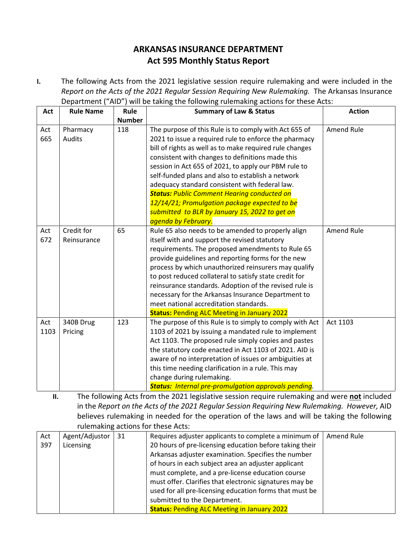## **ARKANSAS INSURANCE DEPARTMENT Act 595 Monthly Status Report**

**I.** The following Acts from the 2021 legislative session require rulemaking and were included in the *Report on the Acts of the 2021 Regular Session Requiring New Rulemaking.* The Arkansas Insurance Department ("AID") will be taking the following rulemaking actions for these Acts:

| Act         | <b>Rule Name</b>          | Rule          | <b>Summary of Law &amp; Status</b>                                                                                                                                                                                                                                                                                                                                                                                                                                                                                                                                           | <b>Action</b>     |
|-------------|---------------------------|---------------|------------------------------------------------------------------------------------------------------------------------------------------------------------------------------------------------------------------------------------------------------------------------------------------------------------------------------------------------------------------------------------------------------------------------------------------------------------------------------------------------------------------------------------------------------------------------------|-------------------|
|             |                           | <b>Number</b> |                                                                                                                                                                                                                                                                                                                                                                                                                                                                                                                                                                              |                   |
| Act<br>665  | Pharmacy<br>Audits        | 118           | The purpose of this Rule is to comply with Act 655 of<br>2021 to issue a required rule to enforce the pharmacy<br>bill of rights as well as to make required rule changes<br>consistent with changes to definitions made this<br>session in Act 655 of 2021, to apply our PBM rule to<br>self-funded plans and also to establish a network<br>adequacy standard consistent with federal law.<br><b>Status: Public Comment Hearing conducted on</b><br>12/14/21; Promulgation package expected to be<br>submitted to BLR by January 15, 2022 to get on<br>agenda by February. | Amend Rule        |
| Act<br>672  | Credit for<br>Reinsurance | 65            | Rule 65 also needs to be amended to properly align<br>itself with and support the revised statutory<br>requirements. The proposed amendments to Rule 65<br>provide guidelines and reporting forms for the new<br>process by which unauthorized reinsurers may qualify<br>to post reduced collateral to satisfy state credit for<br>reinsurance standards. Adoption of the revised rule is<br>necessary for the Arkansas Insurance Department to<br>meet national accreditation standards.<br><b>Status: Pending ALC Meeting in January 2022</b>                              | <b>Amend Rule</b> |
| Act<br>1103 | 340B Drug<br>Pricing      | 123           | The purpose of this Rule is to simply to comply with Act<br>1103 of 2021 by issuing a mandated rule to implement<br>Act 1103. The proposed rule simply copies and pastes<br>the statutory code enacted in Act 1103 of 2021. AID is<br>aware of no interpretation of issues or ambiguities at<br>this time needing clarification in a rule. This may<br>change during rulemaking.<br><b>Status:</b> Internal pre-promulgation approvals pending.                                                                                                                              | Act 1103          |

**II.** The following Acts from the 2021 legislative session require rulemaking and were **not** included in the *Report on the Acts of the 2021 Regular Session Requiring New Rulemaking. However,* AID believes rulemaking in needed for the operation of the laws and will be taking the following rulemaking actions for these Acts:

| Act | Agent/Adjustor | 31 | Requires adjuster applicants to complete a minimum of   | Amend Rule |
|-----|----------------|----|---------------------------------------------------------|------------|
| 397 | Licensing      |    | 20 hours of pre-licensing education before taking their |            |
|     |                |    | Arkansas adjuster examination. Specifies the number     |            |
|     |                |    | of hours in each subject area an adjuster applicant     |            |
|     |                |    | must complete, and a pre-license education course       |            |
|     |                |    | must offer. Clarifies that electronic signatures may be |            |
|     |                |    | used for all pre-licensing education forms that must be |            |
|     |                |    | submitted to the Department.                            |            |
|     |                |    | <b>Status: Pending ALC Meeting in January 2022</b>      |            |